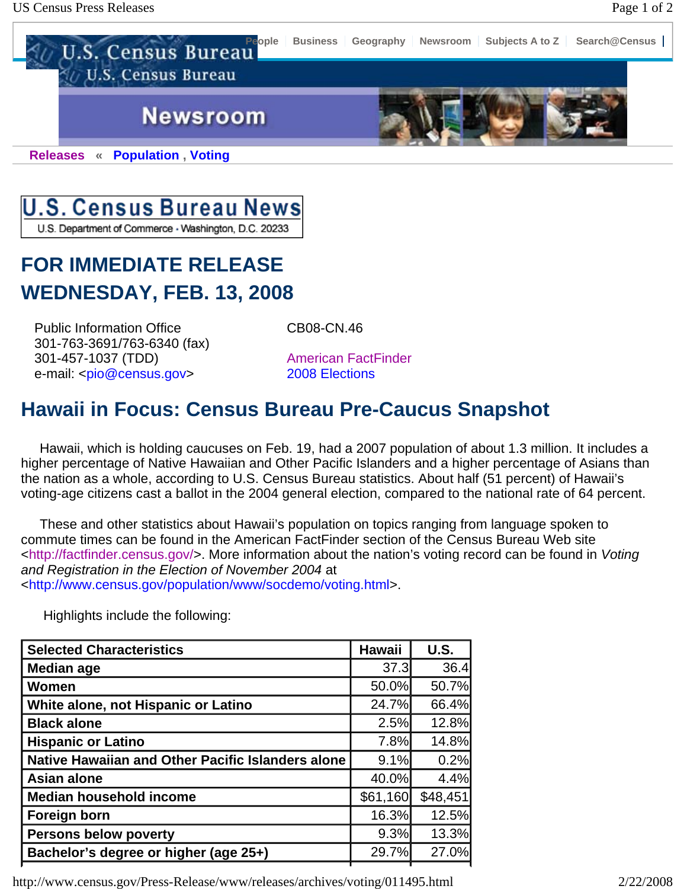



U.S. Department of Commerce - Washington, D.C. 20233

## **FOR IMMEDIATE RELEASE WEDNESDAY, FEB. 13, 2008**

Public Information Office 301-763-3691/763-6340 (fax) 301-457-1037 (TDD) e-mail: <pio@census.gov>

CB08-CN.46

American FactFinder 2008 Elections

## **Hawaii in Focus: Census Bureau Pre-Caucus Snapshot**

 Hawaii, which is holding caucuses on Feb. 19, had a 2007 population of about 1.3 million. It includes a higher percentage of Native Hawaiian and Other Pacific Islanders and a higher percentage of Asians than the nation as a whole, according to U.S. Census Bureau statistics. About half (51 percent) of Hawaii's voting-age citizens cast a ballot in the 2004 general election, compared to the national rate of 64 percent.

 These and other statistics about Hawaii's population on topics ranging from language spoken to commute times can be found in the American FactFinder section of the Census Bureau Web site <http://factfinder.census.gov/>. More information about the nation's voting record can be found in *Voting and Registration in the Election of November 2004* at

<http://www.census.gov/population/www/socdemo/voting.html>.

| <b>Selected Characteristics</b>                   | <b>Hawaii</b> | <b>U.S.</b> |
|---------------------------------------------------|---------------|-------------|
| <b>Median age</b>                                 | 37.3          | 36.4        |
| Women                                             | 50.0%         | 50.7%       |
| White alone, not Hispanic or Latino               | 24.7%         | 66.4%       |
| <b>Black alone</b>                                | 2.5%          | 12.8%       |
| <b>Hispanic or Latino</b>                         | 7.8%          | 14.8%       |
| Native Hawaiian and Other Pacific Islanders alone | 9.1%          | 0.2%        |
| <b>Asian alone</b>                                | 40.0%         | 4.4%        |
| <b>Median household income</b>                    | \$61,160      | \$48,451    |
| Foreign born                                      | 16.3%         | 12.5%       |
| <b>Persons below poverty</b>                      | 9.3%          | 13.3%       |
| Bachelor's degree or higher (age 25+)             | 29.7%         | 27.0%       |

http://www.census.gov/Press-Release/www/releases/archives/voting/011495.html 2/22/2008